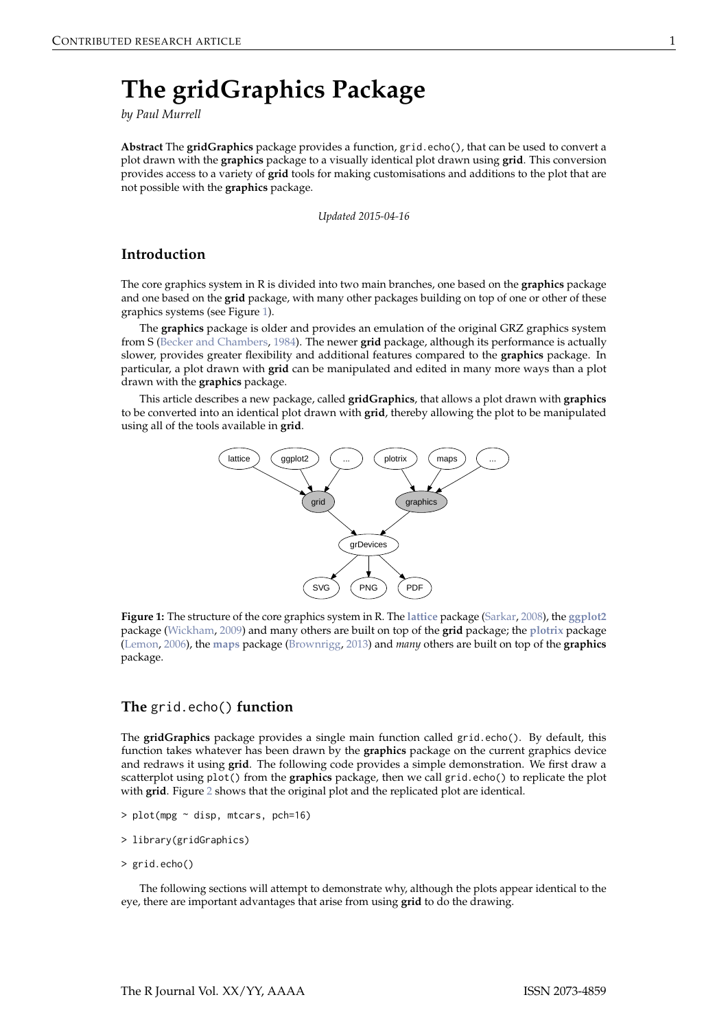# <span id="page-0-2"></span><span id="page-0-1"></span>**The gridGraphics Package**

*by Paul Murrell*

**Abstract** The **gridGraphics** package provides a function, grid.echo(), that can be used to convert a plot drawn with the **graphics** package to a visually identical plot drawn using **grid**. This conversion provides access to a variety of **grid** tools for making customisations and additions to the plot that are not possible with the **graphics** package.

*Updated 2015-04-16*

# **Introduction**

The core graphics system in R is divided into two main branches, one based on the **graphics** package and one based on the **grid** package, with many other packages building on top of one or other of these graphics systems (see Figure [1\)](#page-0-0).

The **graphics** package is older and provides an emulation of the original GRZ graphics system from S [\(Becker and Chambers,](#page-10-0) [1984\)](#page-10-0). The newer **grid** package, although its performance is actually slower, provides greater flexibility and additional features compared to the **graphics** package. In particular, a plot drawn with **grid** can be manipulated and edited in many more ways than a plot drawn with the **graphics** package.

<span id="page-0-0"></span>This article describes a new package, called **gridGraphics**, that allows a plot drawn with **graphics** to be converted into an identical plot drawn with **grid**, thereby allowing the plot to be manipulated using all of the tools available in **grid**.



**Figure 1:** The structure of the core graphics system in R. The **[lattice](http://CRAN.R-project.org/package=lattice)** package [\(Sarkar,](#page-11-0) [2008\)](#page-11-0), the **[ggplot2](http://CRAN.R-project.org/package=ggplot2)** package [\(Wickham,](#page-11-1) [2009\)](#page-11-1) and many others are built on top of the **grid** package; the **[plotrix](http://CRAN.R-project.org/package=plotrix)** package [\(Lemon,](#page-11-2) [2006\)](#page-11-2), the **[maps](http://CRAN.R-project.org/package=maps)** package [\(Brownrigg,](#page-10-1) [2013\)](#page-10-1) and *many* others are built on top of the **graphics** package.

## **The** grid.echo() **function**

The **gridGraphics** package provides a single main function called grid.echo(). By default, this function takes whatever has been drawn by the **graphics** package on the current graphics device and redraws it using **grid**. The following code provides a simple demonstration. We first draw a scatterplot using plot() from the **graphics** package, then we call grid.echo() to replicate the plot with **grid**. Figure [2](#page-1-0) shows that the original plot and the replicated plot are identical.

- $> plot(mpg \sim disp, mtcars, pch=16)$
- > library(gridGraphics)
- > grid.echo()

The following sections will attempt to demonstrate why, although the plots appear identical to the eye, there are important advantages that arise from using **grid** to do the drawing.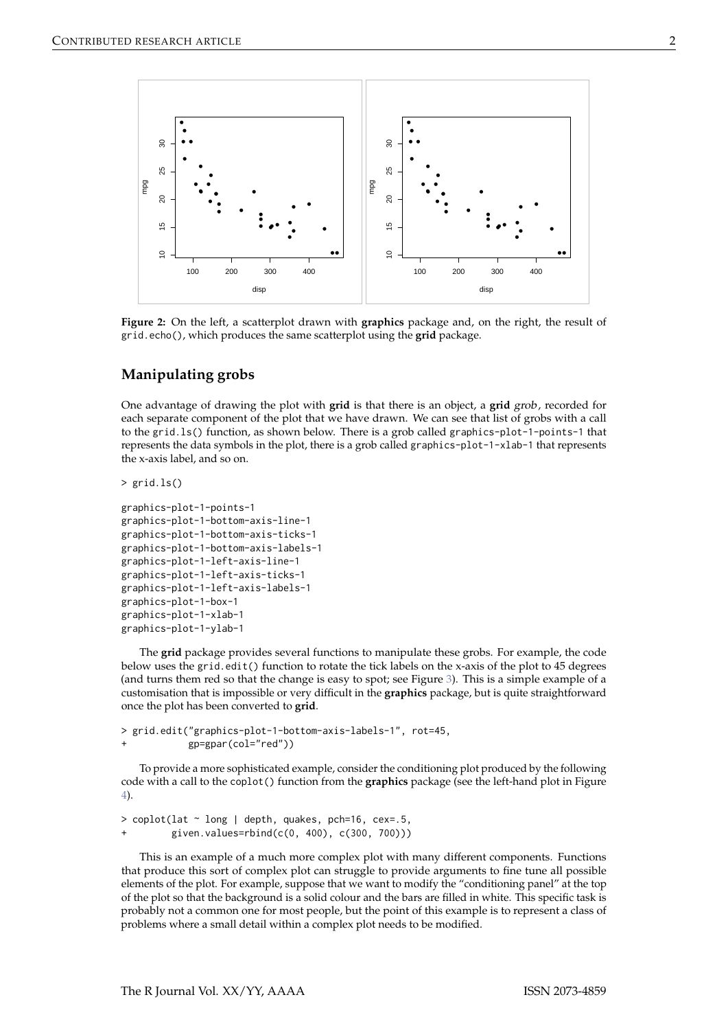<span id="page-1-0"></span>

**Figure 2:** On the left, a scatterplot drawn with **graphics** package and, on the right, the result of grid.echo(), which produces the same scatterplot using the **grid** package.

# **Manipulating grobs**

One advantage of drawing the plot with **grid** is that there is an object, a **grid** grob, recorded for each separate component of the plot that we have drawn. We can see that list of grobs with a call to the grid.ls() function, as shown below. There is a grob called graphics-plot-1-points-1 that represents the data symbols in the plot, there is a grob called graphics-plot-1-xlab-1 that represents the x-axis label, and so on.

> grid.ls()

```
graphics-plot-1-points-1
graphics-plot-1-bottom-axis-line-1
graphics-plot-1-bottom-axis-ticks-1
graphics-plot-1-bottom-axis-labels-1
graphics-plot-1-left-axis-line-1
graphics-plot-1-left-axis-ticks-1
graphics-plot-1-left-axis-labels-1
graphics-plot-1-box-1
graphics-plot-1-xlab-1
graphics-plot-1-ylab-1
```
The **grid** package provides several functions to manipulate these grobs. For example, the code below uses the grid.edit() function to rotate the tick labels on the x-axis of the plot to 45 degrees (and turns them red so that the change is easy to spot; see Figure [3\)](#page-2-0). This is a simple example of a customisation that is impossible or very difficult in the **graphics** package, but is quite straightforward once the plot has been converted to **grid**.

```
> grid.edit("graphics-plot-1-bottom-axis-labels-1", rot=45,
           gp = gpar(col="red")
```
To provide a more sophisticated example, consider the conditioning plot produced by the following code with a call to the coplot() function from the **graphics** package (see the left-hand plot in Figure [4\)](#page-2-1).

```
> coplot(lat ~ long | depth, quakes, pch=16, cex=.5,
         given.values=rbind(c(0, 400), c(300, 700)))
```
This is an example of a much more complex plot with many different components. Functions that produce this sort of complex plot can struggle to provide arguments to fine tune all possible elements of the plot. For example, suppose that we want to modify the "conditioning panel" at the top of the plot so that the background is a solid colour and the bars are filled in white. This specific task is probably not a common one for most people, but the point of this example is to represent a class of problems where a small detail within a complex plot needs to be modified.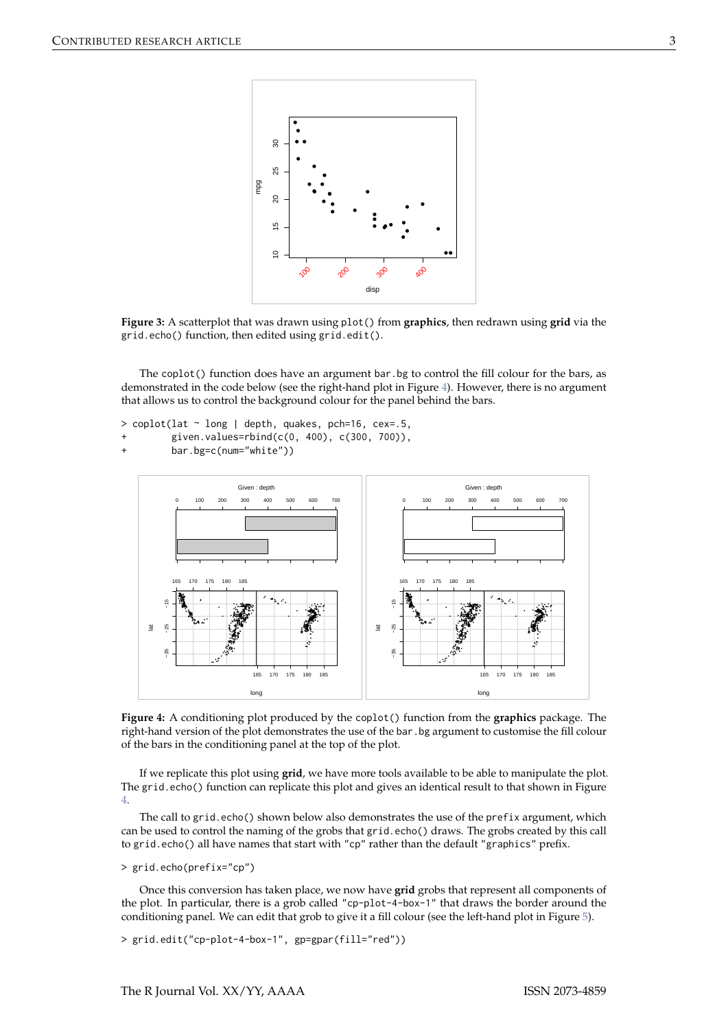<span id="page-2-0"></span>

**Figure 3:** A scatterplot that was drawn using plot() from **graphics**, then redrawn using **grid** via the grid.echo() function, then edited using grid.edit().

The coplot() function does have an argument bar.bg to control the fill colour for the bars, as demonstrated in the code below (see the right-hand plot in Figure [4\)](#page-2-1). However, there is no argument that allows us to control the background colour for the panel behind the bars.

```
> coplot(lat \sim long | depth, quakes, pch=16, cex=.5,
```
given.values=rbind(c(0, 400), c(300, 700)),

```
bar.bg=c(num="white"))
```
<span id="page-2-1"></span>

**Figure 4:** A conditioning plot produced by the coplot() function from the **graphics** package. The right-hand version of the plot demonstrates the use of the bar.bg argument to customise the fill colour of the bars in the conditioning panel at the top of the plot.

If we replicate this plot using **grid**, we have more tools available to be able to manipulate the plot. The grid.echo() function can replicate this plot and gives an identical result to that shown in Figure [4.](#page-2-1)

The call to grid.echo() shown below also demonstrates the use of the prefix argument, which can be used to control the naming of the grobs that grid.echo() draws. The grobs created by this call to grid.echo() all have names that start with "cp" rather than the default "graphics" prefix.

```
> grid.echo(prefix="cp")
```
Once this conversion has taken place, we now have **grid** grobs that represent all components of the plot. In particular, there is a grob called "cp-plot-4-box-1" that draws the border around the conditioning panel. We can edit that grob to give it a fill colour (see the left-hand plot in Figure [5\)](#page-3-0).

> grid.edit("cp-plot-4-box-1", gp=gpar(fill="red"))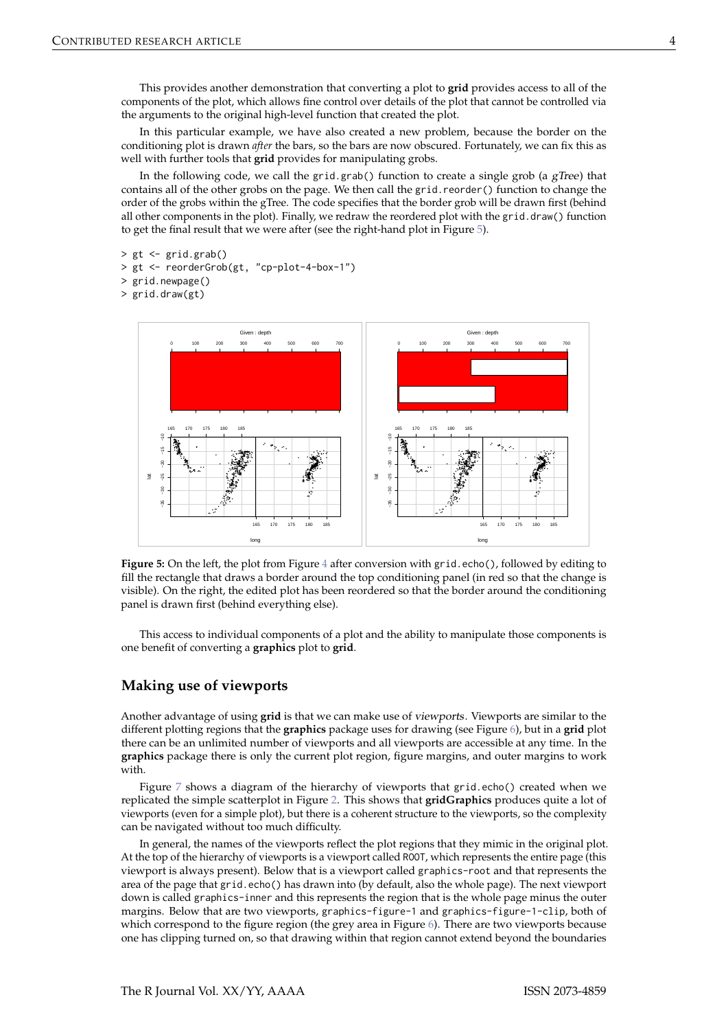This provides another demonstration that converting a plot to **grid** provides access to all of the components of the plot, which allows fine control over details of the plot that cannot be controlled via the arguments to the original high-level function that created the plot.

In this particular example, we have also created a new problem, because the border on the conditioning plot is drawn *after* the bars, so the bars are now obscured. Fortunately, we can fix this as well with further tools that **grid** provides for manipulating grobs.

In the following code, we call the grid.grab() function to create a single grob (a  $gTree$ ) that contains all of the other grobs on the page. We then call the grid.reorder() function to change the order of the grobs within the gTree. The code specifies that the border grob will be drawn first (behind all other components in the plot). Finally, we redraw the reordered plot with the grid.draw() function to get the final result that we were after (see the right-hand plot in Figure [5\)](#page-3-0).

```
> gt <- grid.grab()
```

```
> gt <- reorderGrob(gt, "cp-plot-4-box-1")
```

```
> grid.newpage()
```
> grid.draw(gt)

<span id="page-3-0"></span>

Figure 5: On the left, the plot from Figure [4](#page-2-1) after conversion with grid.echo(), followed by editing to fill the rectangle that draws a border around the top conditioning panel (in red so that the change is visible). On the right, the edited plot has been reordered so that the border around the conditioning panel is drawn first (behind everything else).

This access to individual components of a plot and the ability to manipulate those components is one benefit of converting a **graphics** plot to **grid**.

#### **Making use of viewports**

Another advantage of using **grid** is that we can make use of viewports. Viewports are similar to the different plotting regions that the **graphics** package uses for drawing (see Figure [6\)](#page-4-0), but in a **grid** plot there can be an unlimited number of viewports and all viewports are accessible at any time. In the **graphics** package there is only the current plot region, figure margins, and outer margins to work with

Figure [7](#page-4-1) shows a diagram of the hierarchy of viewports that grid.echo() created when we replicated the simple scatterplot in Figure [2.](#page-1-0) This shows that **gridGraphics** produces quite a lot of viewports (even for a simple plot), but there is a coherent structure to the viewports, so the complexity can be navigated without too much difficulty.

In general, the names of the viewports reflect the plot regions that they mimic in the original plot. At the top of the hierarchy of viewports is a viewport called ROOT, which represents the entire page (this viewport is always present). Below that is a viewport called graphics-root and that represents the area of the page that grid.echo() has drawn into (by default, also the whole page). The next viewport down is called graphics-inner and this represents the region that is the whole page minus the outer margins. Below that are two viewports, graphics-figure-1 and graphics-figure-1-clip, both of which correspond to the figure region (the grey area in Figure [6\)](#page-4-0). There are two viewports because one has clipping turned on, so that drawing within that region cannot extend beyond the boundaries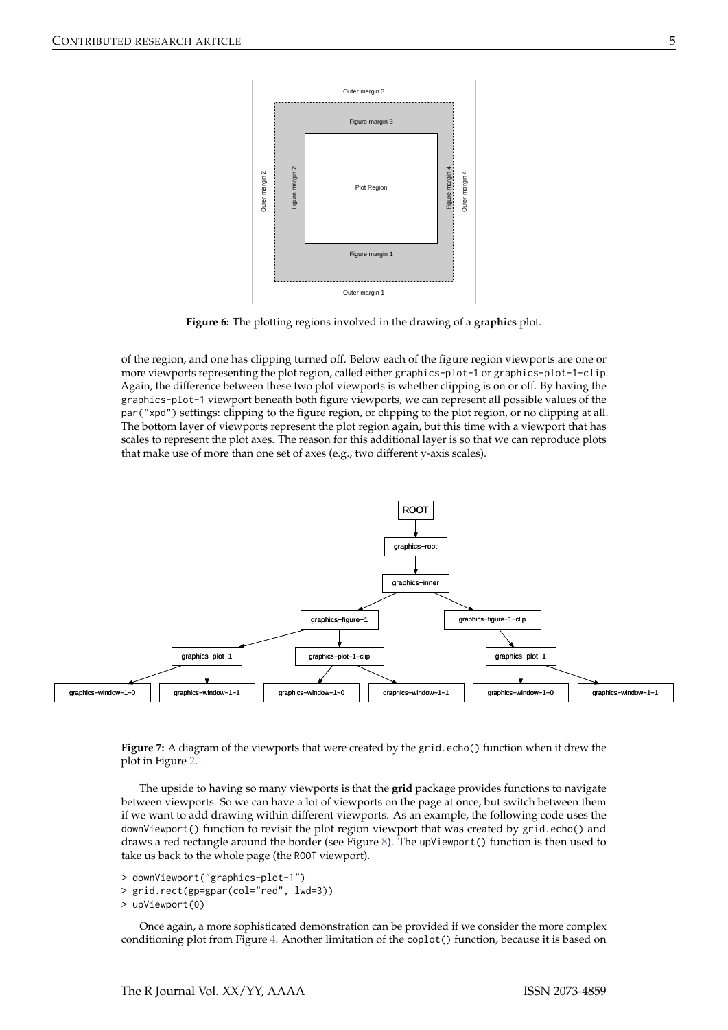<span id="page-4-0"></span>

**Figure 6:** The plotting regions involved in the drawing of a **graphics** plot.

of the region, and one has clipping turned off. Below each of the figure region viewports are one or more viewports representing the plot region, called either graphics-plot-1 or graphics-plot-1-clip. Again, the difference between these two plot viewports is whether clipping is on or off. By having the graphics-plot-1 viewport beneath both figure viewports, we can represent all possible values of the par("xpd") settings: clipping to the figure region, or clipping to the plot region, or no clipping at all. The bottom layer of viewports represent the plot region again, but this time with a viewport that has scales to represent the plot axes. The reason for this additional layer is so that we can reproduce plots that make use of more than one set of axes (e.g., two different y-axis scales).

<span id="page-4-1"></span>

**Figure 7:** A diagram of the viewports that were created by the grid.echo() function when it drew the plot in Figure [2.](#page-1-0)

The upside to having so many viewports is that the **grid** package provides functions to navigate between viewports. So we can have a lot of viewports on the page at once, but switch between them if we want to add drawing within different viewports. As an example, the following code uses the downViewport() function to revisit the plot region viewport that was created by grid.echo() and draws a red rectangle around the border (see Figure [8\)](#page-5-0). The upViewport() function is then used to take us back to the whole page (the ROOT viewport).

> downViewport("graphics-plot-1")

> grid.rect(gp=gpar(col="red", lwd=3))

> upViewport(0)

Once again, a more sophisticated demonstration can be provided if we consider the more complex conditioning plot from Figure [4.](#page-2-1) Another limitation of the coplot() function, because it is based on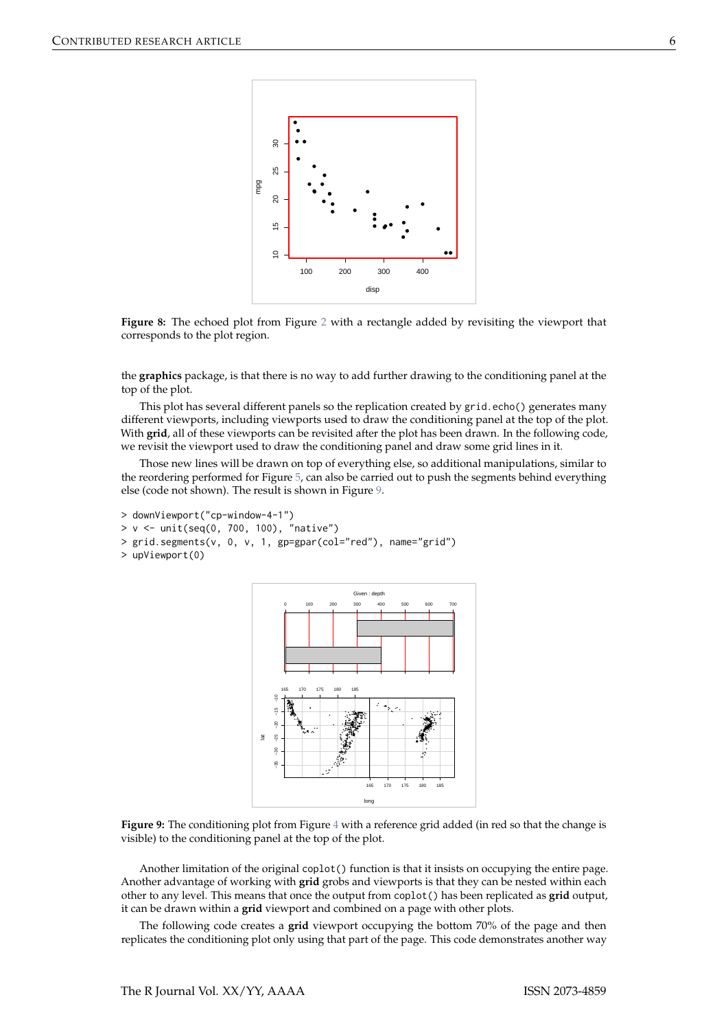<span id="page-5-0"></span>

**Figure 8:** The echoed plot from Figure [2](#page-1-0) with a rectangle added by revisiting the viewport that corresponds to the plot region.

the **graphics** package, is that there is no way to add further drawing to the conditioning panel at the top of the plot.

This plot has several different panels so the replication created by grid.echo() generates many different viewports, including viewports used to draw the conditioning panel at the top of the plot. With **grid**, all of these viewports can be revisited after the plot has been drawn. In the following code, we revisit the viewport used to draw the conditioning panel and draw some grid lines in it.

Those new lines will be drawn on top of everything else, so additional manipulations, similar to the reordering performed for Figure [5,](#page-3-0) can also be carried out to push the segments behind everything else (code not shown). The result is shown in Figure [9.](#page-5-1)

```
> downViewport("cp-window-4-1")
> v <- unit(seq(0, 700, 100), "native")
> grid.segments(v, 0, v, 1, gp=gpar(col="red"), name="grid")
> upViewport(0)
```


**Figure 9:** The conditioning plot from Figure [4](#page-2-1) with a reference grid added (in red so that the change is visible) to the conditioning panel at the top of the plot.

Another limitation of the original coplot() function is that it insists on occupying the entire page. Another advantage of working with **grid** grobs and viewports is that they can be nested within each other to any level. This means that once the output from coplot() has been replicated as **grid** output, it can be drawn within a **grid** viewport and combined on a page with other plots.

The following code creates a **grid** viewport occupying the bottom 70% of the page and then replicates the conditioning plot only using that part of the page. This code demonstrates another way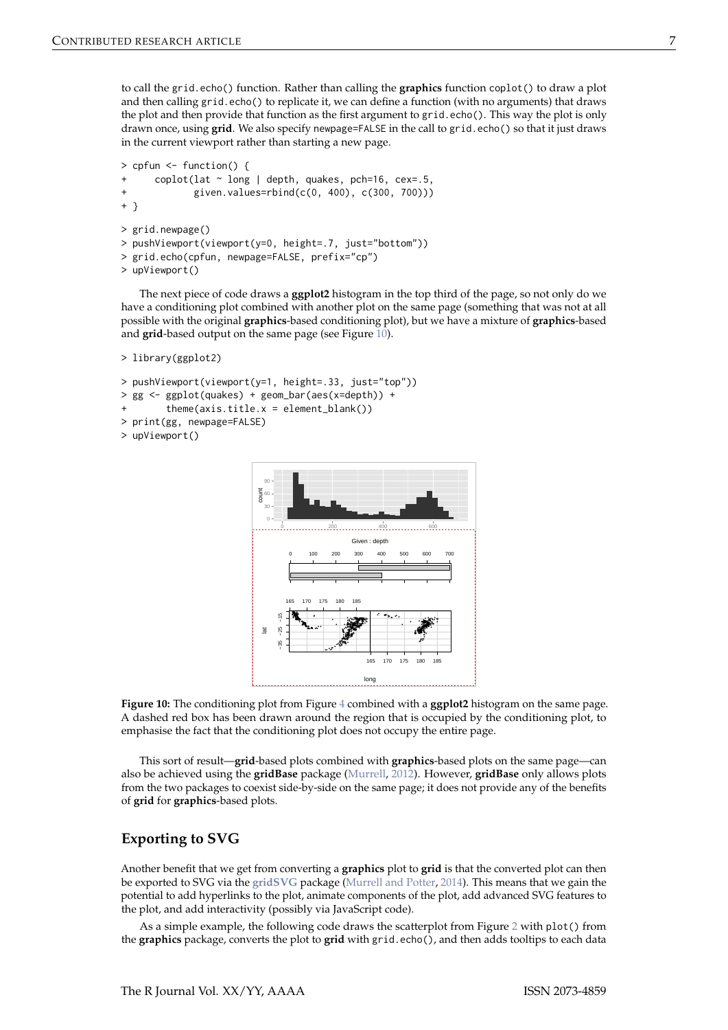<span id="page-6-1"></span>to call the grid.echo() function. Rather than calling the **graphics** function coplot() to draw a plot and then calling grid.echo() to replicate it, we can define a function (with no arguments) that draws the plot and then provide that function as the first argument to grid.echo(). This way the plot is only drawn once, using **grid**. We also specify newpage=FALSE in the call to grid.echo() so that it just draws in the current viewport rather than starting a new page.

```
> cpfun <- function() {
     \text{coplot}(lat ~ long | depth, quakes, pch=16, cex=.5,
+ given.values=rbind(c(0, 400), c(300, 700)))
+ }
> grid.newpage()
> pushViewport(viewport(y=0, height=.7, just="bottom"))
> grid.echo(cpfun, newpage=FALSE, prefix="cp")
> upViewport()
```
The next piece of code draws a **ggplot2** histogram in the top third of the page, so not only do we have a conditioning plot combined with another plot on the same page (something that was not at all possible with the original **graphics**-based conditioning plot), but we have a mixture of **graphics**-based and grid-based output on the same page (see Figure [10\)](#page-6-0).

```
> library(ggplot2)
```

```
> pushViewport(viewport(y=1, height=.33, just="top"))
> gg <- ggplot(quakes) + geom_bar(aes(x=depth)) +
        them (axis.title.x = element_blank())> print(gg, newpage=FALSE)
> upViewport()
```


**Figure 10:** The conditioning plot from Figure [4](#page-2-1) combined with a **ggplot2** histogram on the same page. A dashed red box has been drawn around the region that is occupied by the conditioning plot, to emphasise the fact that the conditioning plot does not occupy the entire page.

This sort of result—**grid**-based plots combined with **graphics**-based plots on the same page—can also be achieved using the **gridBase** package [\(Murrell,](#page-11-3) [2012\)](#page-11-3). However, **gridBase** only allows plots from the two packages to coexist side-by-side on the same page; it does not provide any of the benefits of **grid** for **graphics**-based plots.

## **Exporting to SVG**

Another benefit that we get from converting a **graphics** plot to **grid** is that the converted plot can then be exported to SVG via the **[gridSVG](http://CRAN.R-project.org/package=gridSVG)** package [\(Murrell and Potter,](#page-11-4) [2014\)](#page-11-4). This means that we gain the potential to add hyperlinks to the plot, animate components of the plot, add advanced SVG features to the plot, and add interactivity (possibly via JavaScript code).

As a simple example, the following code draws the scatterplot from Figure [2](#page-1-0) with plot() from the **graphics** package, converts the plot to **grid** with grid.echo(), and then adds tooltips to each data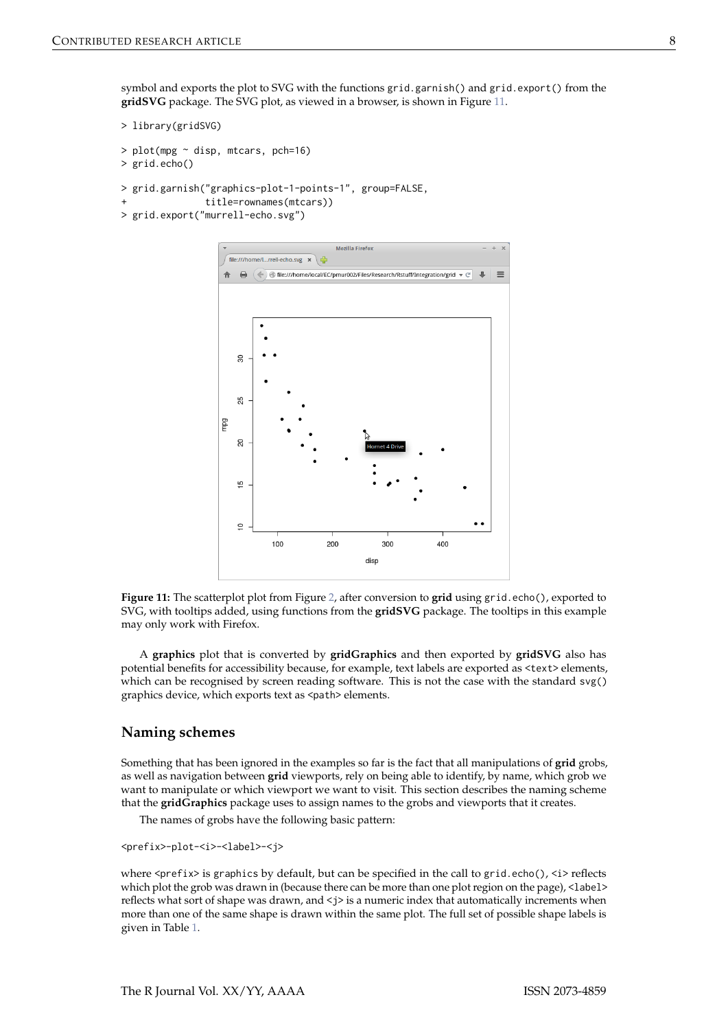symbol and exports the plot to SVG with the functions grid.garnish() and grid.export() from the **gridSVG** package. The SVG plot, as viewed in a browser, is shown in Figure [11.](#page-7-0)

```
> library(gridSVG)
> plot(mpg \sim disp, mtcars, pch=16)> grid.echo()
```

```
> grid.garnish("graphics-plot-1-points-1", group=FALSE,
```

```
title=rownames(mtcars))
```
<span id="page-7-0"></span>> grid.export("murrell-echo.svg")



**Figure 11:** The scatterplot plot from Figure [2,](#page-1-0) after conversion to **grid** using grid.echo(), exported to SVG, with tooltips added, using functions from the **gridSVG** package. The tooltips in this example may only work with Firefox.

A **graphics** plot that is converted by **gridGraphics** and then exported by **gridSVG** also has potential benefits for accessibility because, for example, text labels are exported as <text> elements, which can be recognised by screen reading software. This is not the case with the standard svg() graphics device, which exports text as <path> elements.

#### **Naming schemes**

Something that has been ignored in the examples so far is the fact that all manipulations of **grid** grobs, as well as navigation between **grid** viewports, rely on being able to identify, by name, which grob we want to manipulate or which viewport we want to visit. This section describes the naming scheme that the **gridGraphics** package uses to assign names to the grobs and viewports that it creates.

The names of grobs have the following basic pattern:

<prefix>-plot-<i>-<label>-<j>

where <prefix> is graphics by default, but can be specified in the call to grid.echo(), <i> reflects which plot the grob was drawn in (because there can be more than one plot region on the page), <label> reflects what sort of shape was drawn, and  $\lt j$  is a numeric index that automatically increments when more than one of the same shape is drawn within the same plot. The full set of possible shape labels is given in Table [1.](#page-8-0)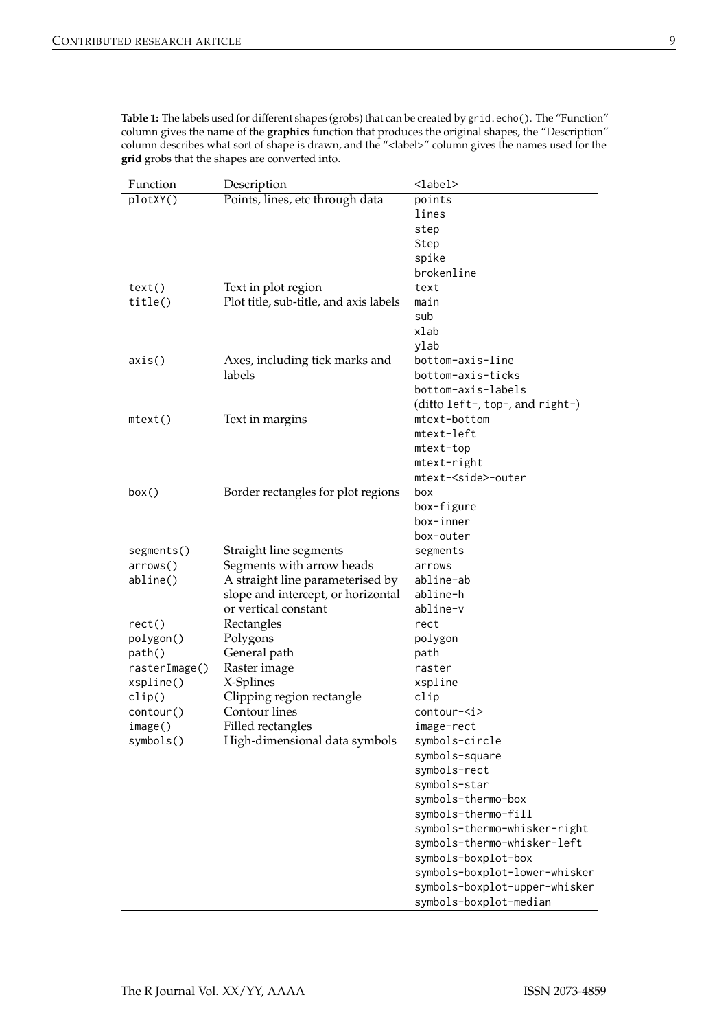<span id="page-8-0"></span>

| Table 1: The labels used for different shapes (grobs) that can be created by grid.echo(). The "Function"     |
|--------------------------------------------------------------------------------------------------------------|
| column gives the name of the <b>graphics</b> function that produces the original shapes, the "Description"   |
| column describes what sort of shape is drawn, and the " <label>" column gives the names used for the</label> |
| grid grobs that the shapes are converted into.                                                               |

| Function        | Description                            | <label></label>                 |
|-----------------|----------------------------------------|---------------------------------|
| plotXY()        | Points, lines, etc through data        | points                          |
|                 |                                        | lines                           |
|                 |                                        | step                            |
|                 |                                        | Step                            |
|                 |                                        | spike                           |
|                 |                                        | brokenline                      |
| text()          | Text in plot region                    | text                            |
| title()         | Plot title, sub-title, and axis labels | main                            |
|                 |                                        | sub                             |
|                 |                                        | xlab                            |
|                 |                                        | ylab                            |
| axis()          | Axes, including tick marks and         | bottom-axis-line                |
|                 | labels                                 | bottom-axis-ticks               |
|                 |                                        | bottom-axis-labels              |
|                 |                                        | (ditto left-, top-, and right-) |
| $mtext{text()}$ | Text in margins                        | mtext-bottom                    |
|                 |                                        | mtext-left                      |
|                 |                                        | mtext-top                       |
|                 |                                        | mtext-right                     |
|                 |                                        | mtext- <side>-outer</side>      |
| box()           | Border rectangles for plot regions     | box                             |
|                 |                                        | box-figure                      |
|                 |                                        | box-inner                       |
|                 |                                        | box-outer                       |
| segments()      | Straight line segments                 | segments                        |
| arrows()        | Segments with arrow heads              | arrows                          |
| abline()        | A straight line parameterised by       | abline-ab                       |
|                 | slope and intercept, or horizontal     | abline-h                        |
|                 | or vertical constant                   | abline-v                        |
| rect()          | Rectangles                             | rect                            |
| polygon()       | Polygons                               | polygon                         |
| path()          | General path                           | path                            |
| rasterImage()   | Raster image                           | raster                          |
| xspline()       | X-Splines                              | xspline                         |
| clip()          | Clipping region rectangle              | clip                            |
| contour()       | Contour lines                          | contour- <i></i>                |
| image()         | Filled rectangles                      | image-rect                      |
| symbol(s)       | High-dimensional data symbols          | symbols-circle                  |
|                 |                                        | symbols-square                  |
|                 |                                        | symbols-rect                    |
|                 |                                        | symbols-star                    |
|                 |                                        | symbols-thermo-box              |
|                 |                                        | symbols-thermo-fill             |
|                 |                                        | symbols-thermo-whisker-right    |
|                 |                                        | symbols-thermo-whisker-left     |
|                 |                                        | symbols-boxplot-box             |
|                 |                                        | symbols-boxplot-lower-whisker   |
|                 |                                        |                                 |
|                 |                                        | symbols-boxplot-upper-whisker   |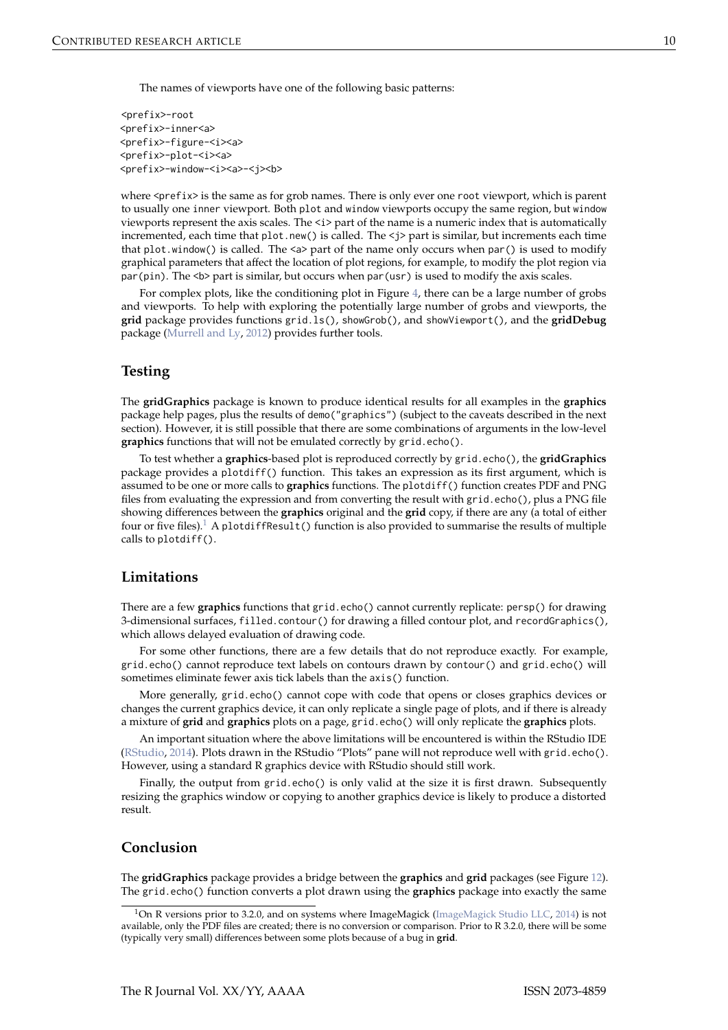<span id="page-9-0"></span>The names of viewports have one of the following basic patterns:

<prefix>-root <prefix>-inner<a> <prefix>-figure-<i><a> <prefix>-plot-<i><a> <prefix>-window-<i><a>-<j><b>

where <prefix> is the same as for grob names. There is only ever one root viewport, which is parent to usually one inner viewport. Both plot and window viewports occupy the same region, but window viewports represent the axis scales. The  $\langle i \rangle$  part of the name is a numeric index that is automatically incremented, each time that plot.new() is called. The <j> part is similar, but increments each time that plot.window() is called. The  $\leq a$  part of the name only occurs when par() is used to modify graphical parameters that affect the location of plot regions, for example, to modify the plot region via par(pin). The  **part is similar, but occurs when par(usr) is used to modify the axis scales.** 

For complex plots, like the conditioning plot in Figure [4,](#page-2-1) there can be a large number of grobs and viewports. To help with exploring the potentially large number of grobs and viewports, the **grid** package provides functions grid.ls(), showGrob(), and showViewport(), and the **gridDebug** package [\(Murrell and Ly,](#page-11-5) [2012\)](#page-11-5) provides further tools.

## **Testing**

The **gridGraphics** package is known to produce identical results for all examples in the **graphics** package help pages, plus the results of demo("graphics") (subject to the caveats described in the next section). However, it is still possible that there are some combinations of arguments in the low-level **graphics** functions that will not be emulated correctly by grid.echo().

To test whether a **graphics**-based plot is reproduced correctly by grid.echo(), the **gridGraphics** package provides a plotdiff() function. This takes an expression as its first argument, which is assumed to be one or more calls to **graphics** functions. The plotdiff() function creates PDF and PNG files from evaluating the expression and from converting the result with grid.echo(), plus a PNG file showing differences between the **graphics** original and the **grid** copy, if there are any (a total of either four or five files).<sup>[1](#page-0-1)</sup> A plotdiffResult() function is also provided to summarise the results of multiple calls to plotdiff().

## **Limitations**

There are a few **graphics** functions that grid.echo() cannot currently replicate: persp() for drawing 3-dimensional surfaces, filled.contour() for drawing a filled contour plot, and recordGraphics(), which allows delayed evaluation of drawing code.

For some other functions, there are a few details that do not reproduce exactly. For example, grid.echo() cannot reproduce text labels on contours drawn by contour() and grid.echo() will sometimes eliminate fewer axis tick labels than the axis() function.

More generally, grid.echo() cannot cope with code that opens or closes graphics devices or changes the current graphics device, it can only replicate a single page of plots, and if there is already a mixture of **grid** and **graphics** plots on a page, grid.echo() will only replicate the **graphics** plots.

An important situation where the above limitations will be encountered is within the RStudio IDE [\(RStudio,](#page-11-6) [2014\)](#page-11-6). Plots drawn in the RStudio "Plots" pane will not reproduce well with grid.echo(). However, using a standard R graphics device with RStudio should still work.

Finally, the output from grid.echo() is only valid at the size it is first drawn. Subsequently resizing the graphics window or copying to another graphics device is likely to produce a distorted result.

### **Conclusion**

The **gridGraphics** package provides a bridge between the **graphics** and **grid** packages (see Figure [12\)](#page-10-2). The grid.echo() function converts a plot drawn using the **graphics** package into exactly the same

<sup>&</sup>lt;sup>1</sup>On R versions prior to 3.2.0, and on systems where ImageMagick [\(ImageMagick Studio LLC,](#page-10-3) [2014\)](#page-10-3) is not available, only the PDF files are created; there is no conversion or comparison. Prior to R 3.2.0, there will be some (typically very small) differences between some plots because of a bug in **grid**.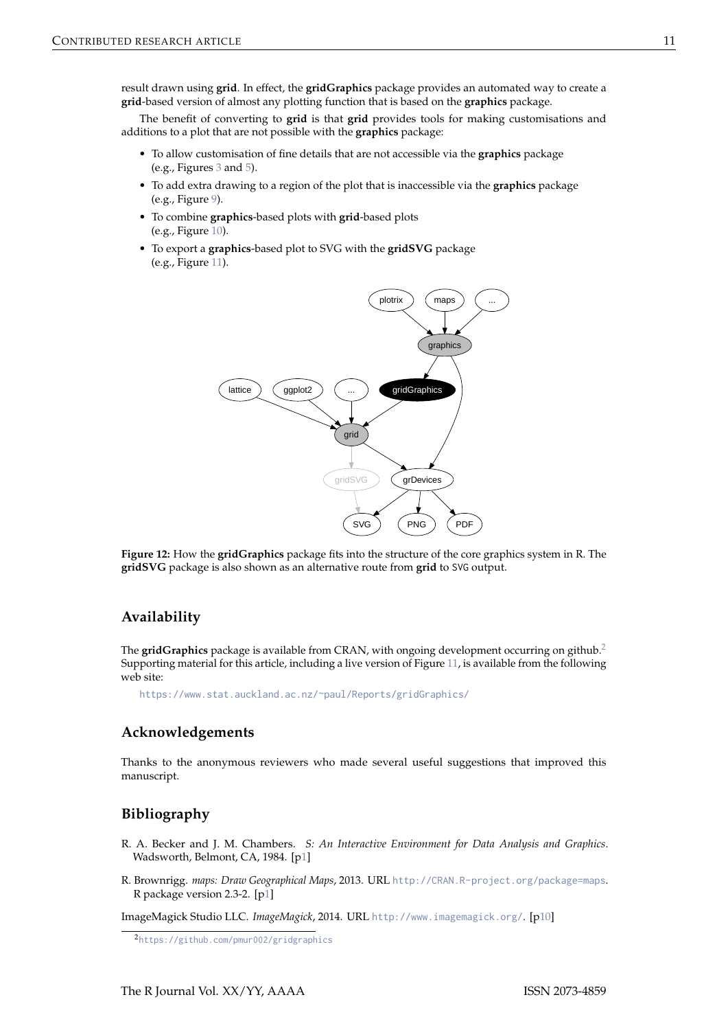result drawn using **grid**. In effect, the **gridGraphics** package provides an automated way to create a **grid**-based version of almost any plotting function that is based on the **graphics** package.

The benefit of converting to **grid** is that **grid** provides tools for making customisations and additions to a plot that are not possible with the **graphics** package:

- To allow customisation of fine details that are not accessible via the **graphics** package (e.g., Figures [3](#page-2-0) and [5\)](#page-3-0).
- To add extra drawing to a region of the plot that is inaccessible via the **graphics** package (e.g., Figure [9\)](#page-5-1).
- To combine **graphics**-based plots with **grid**-based plots (e.g., Figure [10\)](#page-6-0).
- <span id="page-10-2"></span>• To export a **graphics**-based plot to SVG with the **gridSVG** package (e.g., Figure [11\)](#page-7-0).



**Figure 12:** How the **gridGraphics** package fits into the structure of the core graphics system in R. The **gridSVG** package is also shown as an alternative route from **grid** to SVG output.

## **Availability**

The **gridGraphics** package is available from CRAN, with ongoing development occurring on github.[2](#page-0-1) Supporting material for this article, including a live version of Figure [11,](#page-7-0) is available from the following web site:

<https://www.stat.auckland.ac.nz/~paul/Reports/gridGraphics/>

## **Acknowledgements**

Thanks to the anonymous reviewers who made several useful suggestions that improved this manuscript.

## **Bibliography**

- <span id="page-10-0"></span>R. A. Becker and J. M. Chambers. *S: An Interactive Environment for Data Analysis and Graphics*. Wadsworth, Belmont, CA, 1984. [[p1\]](#page-0-2)
- <span id="page-10-1"></span>R. Brownrigg. *maps: Draw Geographical Maps*, 2013. URL <http://CRAN.R-project.org/package=maps>. R package version 2.3-2. [[p1\]](#page-0-2)

<span id="page-10-3"></span>ImageMagick Studio LLC. *ImageMagick*, 2014. URL <http://www.imagemagick.org/>. [[p10\]](#page-9-0)

<sup>2</sup><https://github.com/pmur002/gridgraphics>